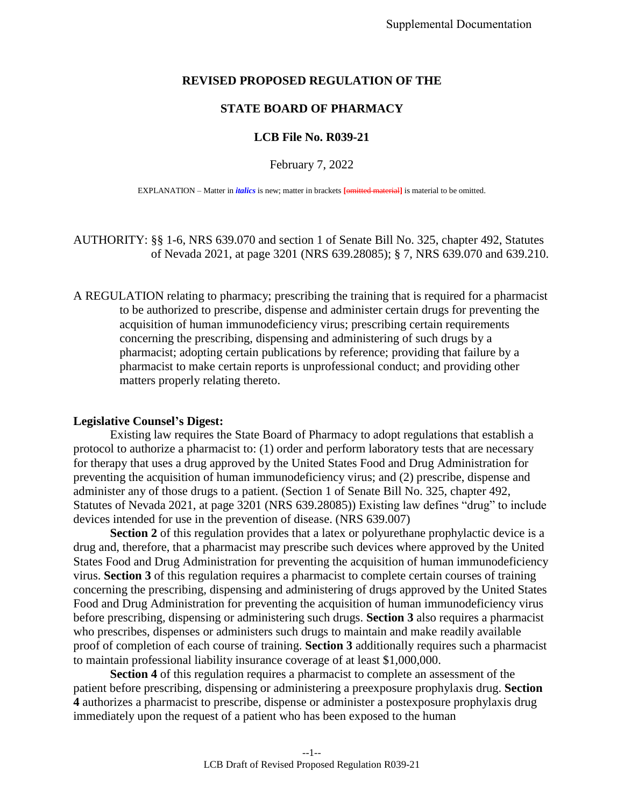## **REVISED PROPOSED REGULATION OF THE**

## **STATE BOARD OF PHARMACY**

## **LCB File No. R039-21**

February 7, 2022

EXPLANATION – Matter in *italics* is new; matter in brackets **[**omitted material**]** is material to be omitted.

AUTHORITY: §§ 1-6, NRS 639.070 and section 1 of Senate Bill No. 325, chapter 492, Statutes of Nevada 2021, at page 3201 (NRS 639.28085); § 7, NRS 639.070 and 639.210.

A REGULATION relating to pharmacy; prescribing the training that is required for a pharmacist to be authorized to prescribe, dispense and administer certain drugs for preventing the acquisition of human immunodeficiency virus; prescribing certain requirements concerning the prescribing, dispensing and administering of such drugs by a pharmacist; adopting certain publications by reference; providing that failure by a pharmacist to make certain reports is unprofessional conduct; and providing other matters properly relating thereto.

## **Legislative Counsel's Digest:**

Existing law requires the State Board of Pharmacy to adopt regulations that establish a protocol to authorize a pharmacist to: (1) order and perform laboratory tests that are necessary for therapy that uses a drug approved by the United States Food and Drug Administration for preventing the acquisition of human immunodeficiency virus; and (2) prescribe, dispense and administer any of those drugs to a patient. (Section 1 of Senate Bill No. 325, chapter 492, Statutes of Nevada 2021, at page 3201 (NRS 639.28085)) Existing law defines "drug" to include devices intended for use in the prevention of disease. (NRS 639.007)

**Section 2** of this regulation provides that a latex or polyurethane prophylactic device is a drug and, therefore, that a pharmacist may prescribe such devices where approved by the United States Food and Drug Administration for preventing the acquisition of human immunodeficiency virus. **Section 3** of this regulation requires a pharmacist to complete certain courses of training concerning the prescribing, dispensing and administering of drugs approved by the United States Food and Drug Administration for preventing the acquisition of human immunodeficiency virus before prescribing, dispensing or administering such drugs. **Section 3** also requires a pharmacist who prescribes, dispenses or administers such drugs to maintain and make readily available proof of completion of each course of training. **Section 3** additionally requires such a pharmacist to maintain professional liability insurance coverage of at least \$1,000,000.

**Section 4** of this regulation requires a pharmacist to complete an assessment of the patient before prescribing, dispensing or administering a preexposure prophylaxis drug. **Section 4** authorizes a pharmacist to prescribe, dispense or administer a postexposure prophylaxis drug immediately upon the request of a patient who has been exposed to the human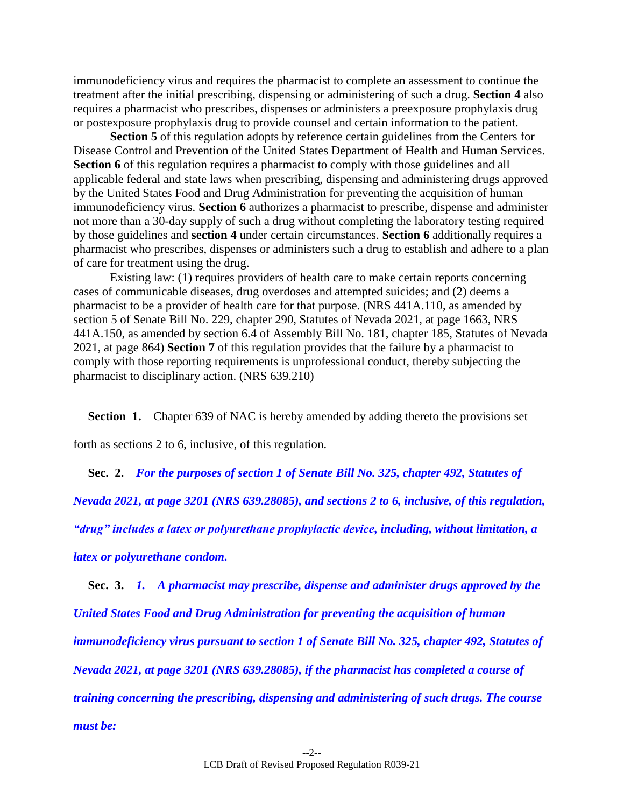immunodeficiency virus and requires the pharmacist to complete an assessment to continue the treatment after the initial prescribing, dispensing or administering of such a drug. **Section 4** also requires a pharmacist who prescribes, dispenses or administers a preexposure prophylaxis drug or postexposure prophylaxis drug to provide counsel and certain information to the patient.

**Section 5** of this regulation adopts by reference certain guidelines from the Centers for Disease Control and Prevention of the United States Department of Health and Human Services. **Section 6** of this regulation requires a pharmacist to comply with those guidelines and all applicable federal and state laws when prescribing, dispensing and administering drugs approved by the United States Food and Drug Administration for preventing the acquisition of human immunodeficiency virus. **Section 6** authorizes a pharmacist to prescribe, dispense and administer not more than a 30-day supply of such a drug without completing the laboratory testing required by those guidelines and **section 4** under certain circumstances. **Section 6** additionally requires a pharmacist who prescribes, dispenses or administers such a drug to establish and adhere to a plan of care for treatment using the drug.

Existing law: (1) requires providers of health care to make certain reports concerning cases of communicable diseases, drug overdoses and attempted suicides; and (2) deems a pharmacist to be a provider of health care for that purpose. (NRS 441A.110, as amended by section 5 of Senate Bill No. 229, chapter 290, Statutes of Nevada 2021, at page 1663, NRS 441A.150, as amended by section 6.4 of Assembly Bill No. 181, chapter 185, Statutes of Nevada 2021, at page 864) **Section 7** of this regulation provides that the failure by a pharmacist to comply with those reporting requirements is unprofessional conduct, thereby subjecting the pharmacist to disciplinary action. (NRS 639.210)

**Section 1.** Chapter 639 of NAC is hereby amended by adding thereto the provisions set

forth as sections 2 to 6, inclusive, of this regulation.

**Sec. 2.** *For the purposes of section 1 of Senate Bill No. 325, chapter 492, Statutes of* 

*Nevada 2021, at page 3201 (NRS 639.28085), and sections 2 to 6, inclusive, of this regulation,* 

*"drug" includes a latex or polyurethane prophylactic device, including, without limitation, a* 

*latex or polyurethane condom.*

**Sec. 3.** *1. A pharmacist may prescribe, dispense and administer drugs approved by the United States Food and Drug Administration for preventing the acquisition of human immunodeficiency virus pursuant to section 1 of Senate Bill No. 325, chapter 492, Statutes of Nevada 2021, at page 3201 (NRS 639.28085), if the pharmacist has completed a course of training concerning the prescribing, dispensing and administering of such drugs. The course must be:*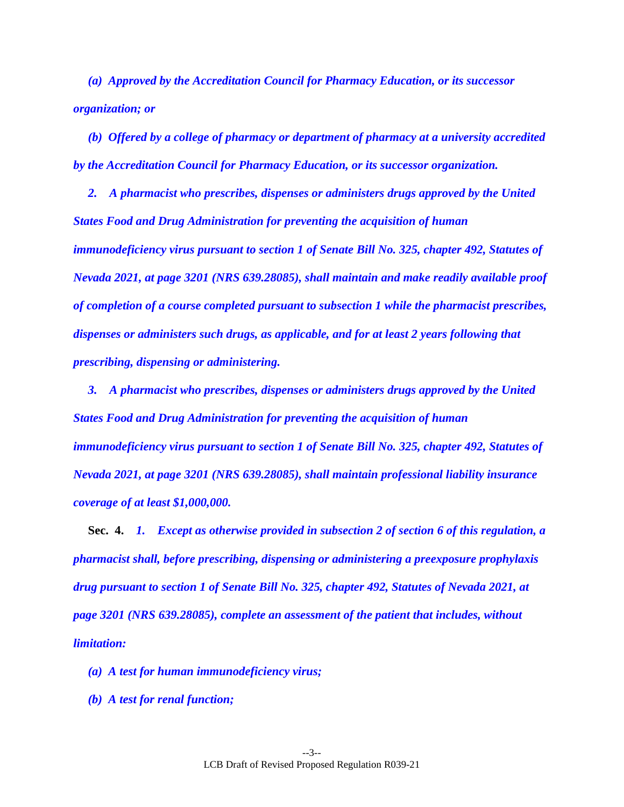*(a) Approved by the Accreditation Council for Pharmacy Education, or its successor organization; or* 

*(b) Offered by a college of pharmacy or department of pharmacy at a university accredited by the Accreditation Council for Pharmacy Education, or its successor organization.* 

*2. A pharmacist who prescribes, dispenses or administers drugs approved by the United States Food and Drug Administration for preventing the acquisition of human immunodeficiency virus pursuant to section 1 of Senate Bill No. 325, chapter 492, Statutes of Nevada 2021, at page 3201 (NRS 639.28085), shall maintain and make readily available proof of completion of a course completed pursuant to subsection 1 while the pharmacist prescribes, dispenses or administers such drugs, as applicable, and for at least 2 years following that prescribing, dispensing or administering.* 

*3. A pharmacist who prescribes, dispenses or administers drugs approved by the United States Food and Drug Administration for preventing the acquisition of human immunodeficiency virus pursuant to section 1 of Senate Bill No. 325, chapter 492, Statutes of Nevada 2021, at page 3201 (NRS 639.28085), shall maintain professional liability insurance coverage of at least \$1,000,000.* 

**Sec. 4.** *1. Except as otherwise provided in subsection 2 of section 6 of this regulation, a pharmacist shall, before prescribing, dispensing or administering a preexposure prophylaxis drug pursuant to section 1 of Senate Bill No. 325, chapter 492, Statutes of Nevada 2021, at page 3201 (NRS 639.28085), complete an assessment of the patient that includes, without limitation:* 

*(a) A test for human immunodeficiency virus;* 

*(b) A test for renal function;*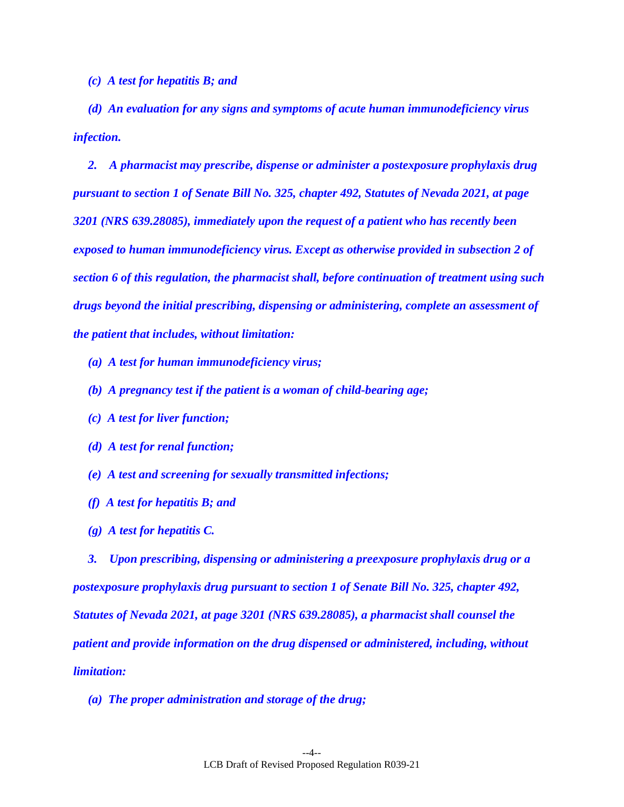*(c) A test for hepatitis B; and* 

*(d) An evaluation for any signs and symptoms of acute human immunodeficiency virus infection.* 

*2. A pharmacist may prescribe, dispense or administer a postexposure prophylaxis drug pursuant to section 1 of Senate Bill No. 325, chapter 492, Statutes of Nevada 2021, at page 3201 (NRS 639.28085), immediately upon the request of a patient who has recently been exposed to human immunodeficiency virus. Except as otherwise provided in subsection 2 of section 6 of this regulation, the pharmacist shall, before continuation of treatment using such drugs beyond the initial prescribing, dispensing or administering, complete an assessment of the patient that includes, without limitation:* 

- *(a) A test for human immunodeficiency virus;*
- *(b) A pregnancy test if the patient is a woman of child-bearing age;*
- *(c) A test for liver function;*
- *(d) A test for renal function;*
- *(e) A test and screening for sexually transmitted infections;*
- *(f) A test for hepatitis B; and*
- *(g) A test for hepatitis C.*

*3. Upon prescribing, dispensing or administering a preexposure prophylaxis drug or a postexposure prophylaxis drug pursuant to section 1 of Senate Bill No. 325, chapter 492, Statutes of Nevada 2021, at page 3201 (NRS 639.28085), a pharmacist shall counsel the patient and provide information on the drug dispensed or administered, including, without limitation:* 

*(a) The proper administration and storage of the drug;*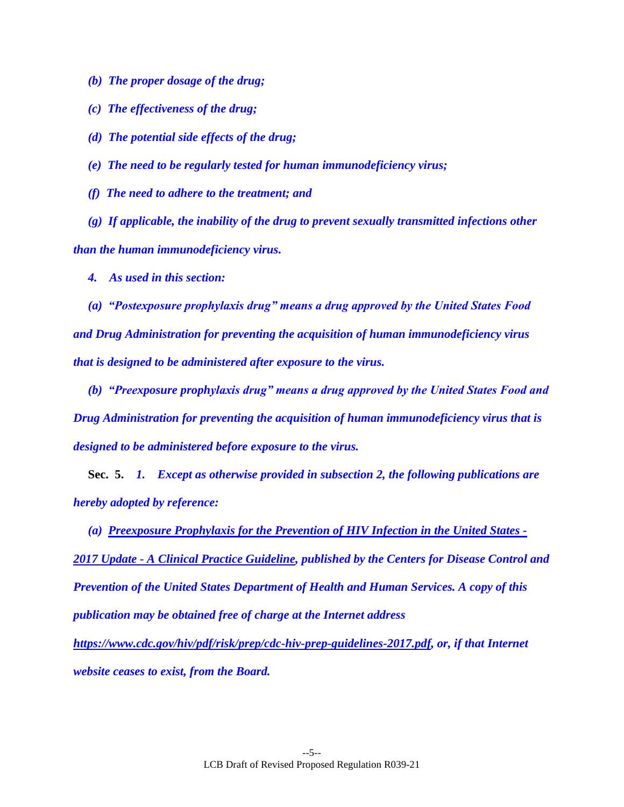*(b) The proper dosage of the drug;* 

*(c) The effectiveness of the drug;* 

*(d) The potential side effects of the drug;*

*(e) The need to be regularly tested for human immunodeficiency virus;* 

*(f) The need to adhere to the treatment; and* 

*(g) If applicable, the inability of the drug to prevent sexually transmitted infections other than the human immunodeficiency virus.* 

*4. As used in this section:* 

*(a) "Postexposure prophylaxis drug" means a drug approved by the United States Food and Drug Administration for preventing the acquisition of human immunodeficiency virus that is designed to be administered after exposure to the virus.* 

*(b) "Preexposure prophylaxis drug" means a drug approved by the United States Food and Drug Administration for preventing the acquisition of human immunodeficiency virus that is designed to be administered before exposure to the virus.* 

**Sec. 5.** *1. Except as otherwise provided in subsection 2, the following publications are hereby adopted by reference:* 

*(a) Preexposure Prophylaxis for the Prevention of HIV Infection in the United States - 2017 Update - A Clinical Practice Guideline, published by the Centers for Disease Control and Prevention of the United States Department of Health and Human Services. A copy of this publication may be obtained free of charge at the Internet address* 

*https://www.cdc.gov/hiv/pdf/risk/prep/cdc-hiv-prep-guidelines-2017.pdf, or, if that Internet website ceases to exist, from the Board.*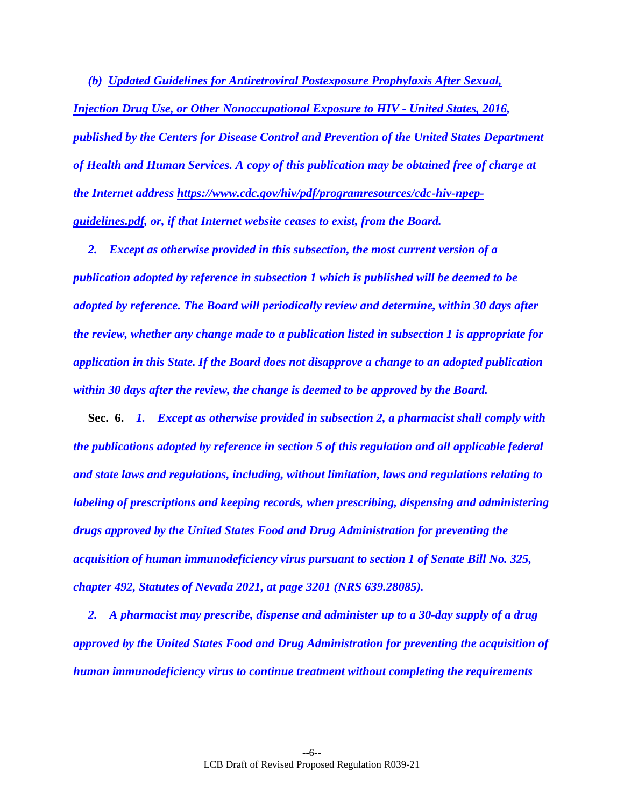*(b) Updated Guidelines for Antiretroviral Postexposure Prophylaxis After Sexual, Injection Drug Use, or Other Nonoccupational Exposure to HIV - United States, 2016, published by the Centers for Disease Control and Prevention of the United States Department of Health and Human Services. A copy of this publication may be obtained free of charge at the Internet address https://www.cdc.gov/hiv/pdf/programresources/cdc-hiv-npepguidelines.pdf, or, if that Internet website ceases to exist, from the Board.* 

*2. Except as otherwise provided in this subsection, the most current version of a publication adopted by reference in subsection 1 which is published will be deemed to be adopted by reference. The Board will periodically review and determine, within 30 days after the review, whether any change made to a publication listed in subsection 1 is appropriate for application in this State. If the Board does not disapprove a change to an adopted publication within 30 days after the review, the change is deemed to be approved by the Board.* 

**Sec. 6.** *1. Except as otherwise provided in subsection 2, a pharmacist shall comply with the publications adopted by reference in section 5 of this regulation and all applicable federal and state laws and regulations, including, without limitation, laws and regulations relating to labeling of prescriptions and keeping records, when prescribing, dispensing and administering drugs approved by the United States Food and Drug Administration for preventing the acquisition of human immunodeficiency virus pursuant to section 1 of Senate Bill No. 325, chapter 492, Statutes of Nevada 2021, at page 3201 (NRS 639.28085).* 

*2. A pharmacist may prescribe, dispense and administer up to a 30-day supply of a drug approved by the United States Food and Drug Administration for preventing the acquisition of human immunodeficiency virus to continue treatment without completing the requirements*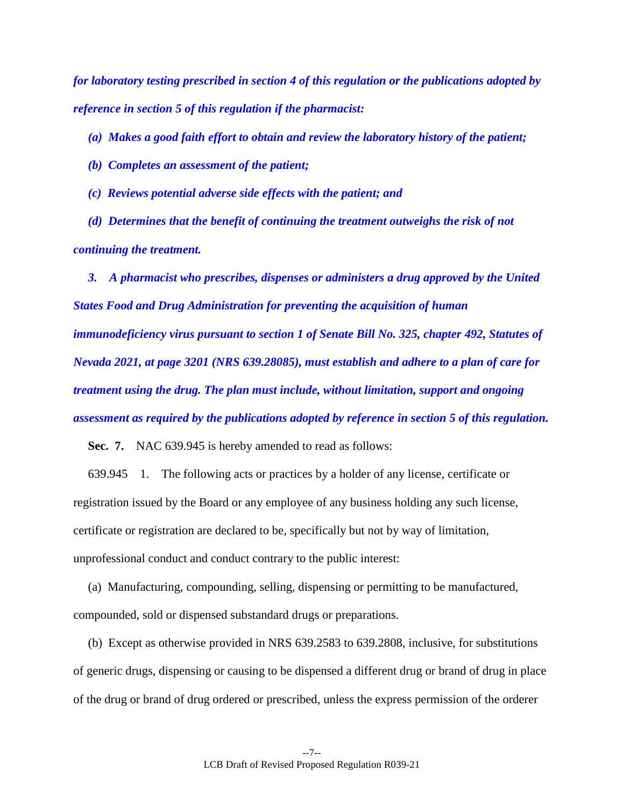*for laboratory testing prescribed in section 4 of this regulation or the publications adopted by reference in section 5 of this regulation if the pharmacist:* 

*(a) Makes a good faith effort to obtain and review the laboratory history of the patient;* 

*(b) Completes an assessment of the patient;* 

*(c) Reviews potential adverse side effects with the patient; and* 

*(d) Determines that the benefit of continuing the treatment outweighs the risk of not continuing the treatment.* 

*3. A pharmacist who prescribes, dispenses or administers a drug approved by the United States Food and Drug Administration for preventing the acquisition of human immunodeficiency virus pursuant to section 1 of Senate Bill No. 325, chapter 492, Statutes of Nevada 2021, at page 3201 (NRS 639.28085), must establish and adhere to a plan of care for treatment using the drug. The plan must include, without limitation, support and ongoing assessment as required by the publications adopted by reference in section 5 of this regulation.* 

**Sec. 7.** NAC 639.945 is hereby amended to read as follows:

639.945 1. The following acts or practices by a holder of any license, certificate or registration issued by the Board or any employee of any business holding any such license, certificate or registration are declared to be, specifically but not by way of limitation, unprofessional conduct and conduct contrary to the public interest:

(a) Manufacturing, compounding, selling, dispensing or permitting to be manufactured, compounded, sold or dispensed substandard drugs or preparations.

(b) Except as otherwise provided in NRS 639.2583 to 639.2808, inclusive, for substitutions of generic drugs, dispensing or causing to be dispensed a different drug or brand of drug in place of the drug or brand of drug ordered or prescribed, unless the express permission of the orderer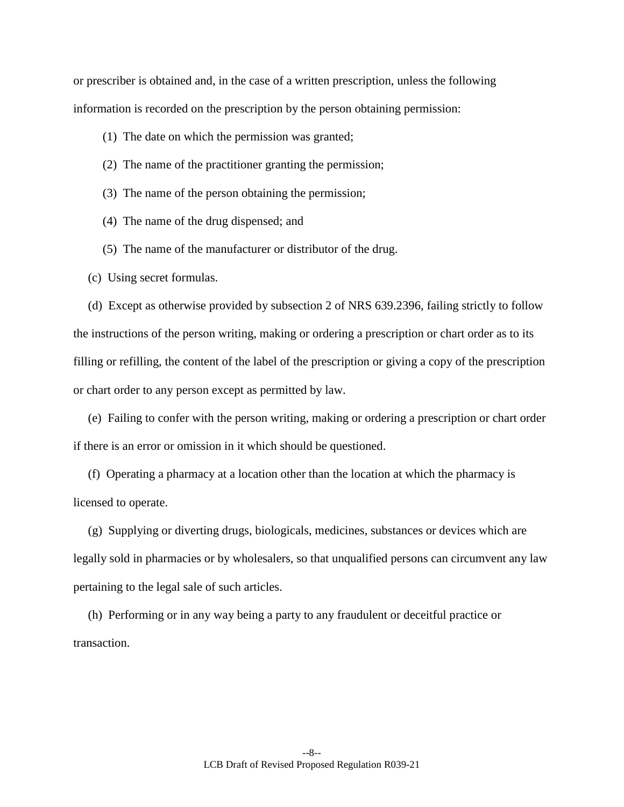or prescriber is obtained and, in the case of a written prescription, unless the following information is recorded on the prescription by the person obtaining permission:

(1) The date on which the permission was granted;

- (2) The name of the practitioner granting the permission;
- (3) The name of the person obtaining the permission;
- (4) The name of the drug dispensed; and
- (5) The name of the manufacturer or distributor of the drug.
- (c) Using secret formulas.

(d) Except as otherwise provided by subsection 2 of NRS 639.2396, failing strictly to follow the instructions of the person writing, making or ordering a prescription or chart order as to its filling or refilling, the content of the label of the prescription or giving a copy of the prescription or chart order to any person except as permitted by law.

(e) Failing to confer with the person writing, making or ordering a prescription or chart order if there is an error or omission in it which should be questioned.

(f) Operating a pharmacy at a location other than the location at which the pharmacy is licensed to operate.

(g) Supplying or diverting drugs, biologicals, medicines, substances or devices which are legally sold in pharmacies or by wholesalers, so that unqualified persons can circumvent any law pertaining to the legal sale of such articles.

(h) Performing or in any way being a party to any fraudulent or deceitful practice or transaction.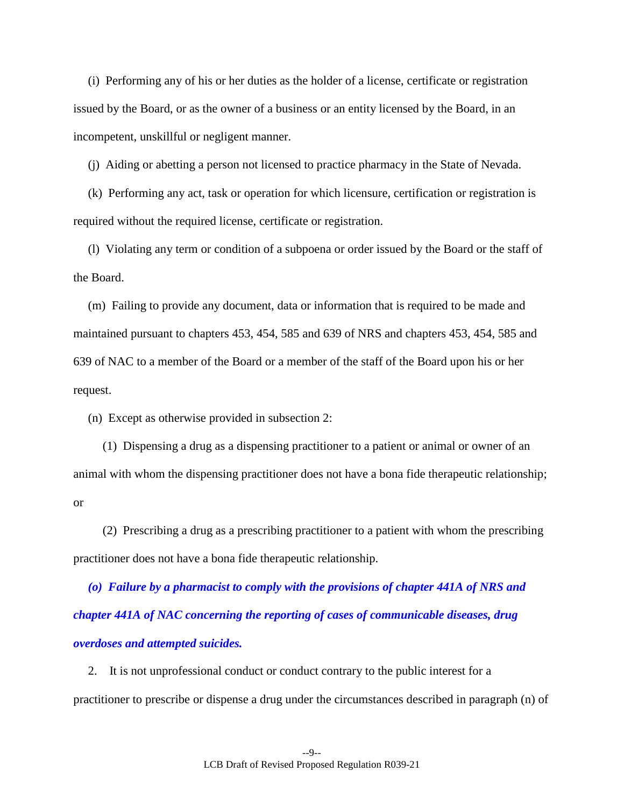(i) Performing any of his or her duties as the holder of a license, certificate or registration issued by the Board, or as the owner of a business or an entity licensed by the Board, in an incompetent, unskillful or negligent manner.

(j) Aiding or abetting a person not licensed to practice pharmacy in the State of Nevada.

(k) Performing any act, task or operation for which licensure, certification or registration is required without the required license, certificate or registration.

(l) Violating any term or condition of a subpoena or order issued by the Board or the staff of the Board.

(m) Failing to provide any document, data or information that is required to be made and maintained pursuant to chapters 453, 454, 585 and 639 of NRS and chapters 453, 454, 585 and 639 of NAC to a member of the Board or a member of the staff of the Board upon his or her request.

(n) Except as otherwise provided in subsection 2:

(1) Dispensing a drug as a dispensing practitioner to a patient or animal or owner of an animal with whom the dispensing practitioner does not have a bona fide therapeutic relationship; or

(2) Prescribing a drug as a prescribing practitioner to a patient with whom the prescribing practitioner does not have a bona fide therapeutic relationship.

*(o) Failure by a pharmacist to comply with the provisions of chapter 441A of NRS and chapter 441A of NAC concerning the reporting of cases of communicable diseases, drug overdoses and attempted suicides.*

2. It is not unprofessional conduct or conduct contrary to the public interest for a practitioner to prescribe or dispense a drug under the circumstances described in paragraph (n) of